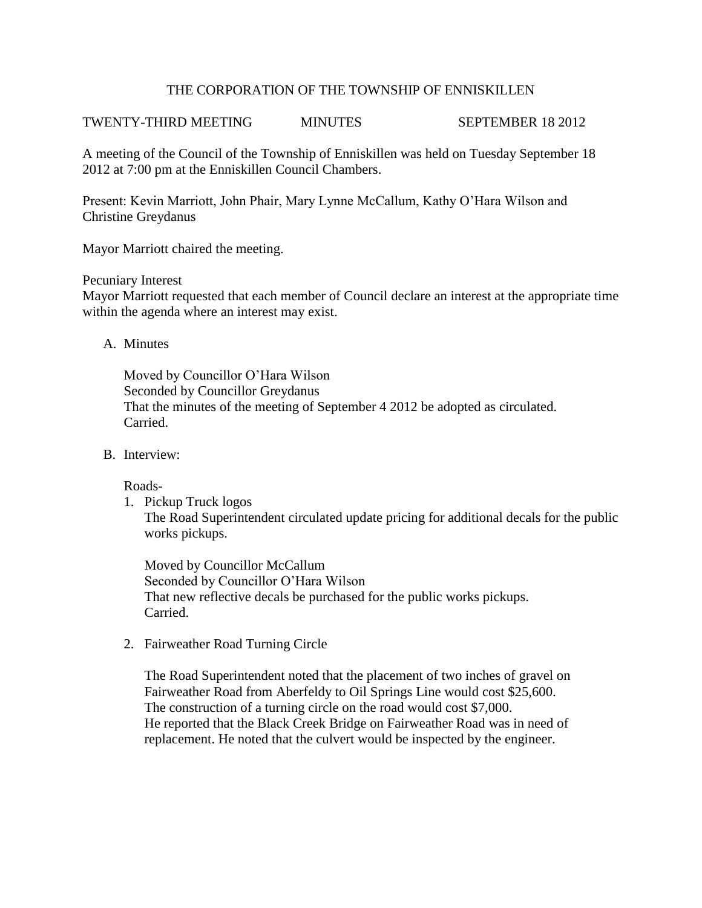## THE CORPORATION OF THE TOWNSHIP OF ENNISKILLEN

# TWENTY-THIRD MEETING MINUTES SEPTEMBER 18 2012

A meeting of the Council of the Township of Enniskillen was held on Tuesday September 18 2012 at 7:00 pm at the Enniskillen Council Chambers.

Present: Kevin Marriott, John Phair, Mary Lynne McCallum, Kathy O'Hara Wilson and Christine Greydanus

Mayor Marriott chaired the meeting.

#### Pecuniary Interest

Mayor Marriott requested that each member of Council declare an interest at the appropriate time within the agenda where an interest may exist.

A. Minutes

Moved by Councillor O'Hara Wilson Seconded by Councillor Greydanus That the minutes of the meeting of September 4 2012 be adopted as circulated. Carried.

B. Interview:

Roads-

1. Pickup Truck logos

The Road Superintendent circulated update pricing for additional decals for the public works pickups.

Moved by Councillor McCallum Seconded by Councillor O'Hara Wilson That new reflective decals be purchased for the public works pickups. Carried.

2. Fairweather Road Turning Circle

The Road Superintendent noted that the placement of two inches of gravel on Fairweather Road from Aberfeldy to Oil Springs Line would cost \$25,600. The construction of a turning circle on the road would cost \$7,000. He reported that the Black Creek Bridge on Fairweather Road was in need of replacement. He noted that the culvert would be inspected by the engineer.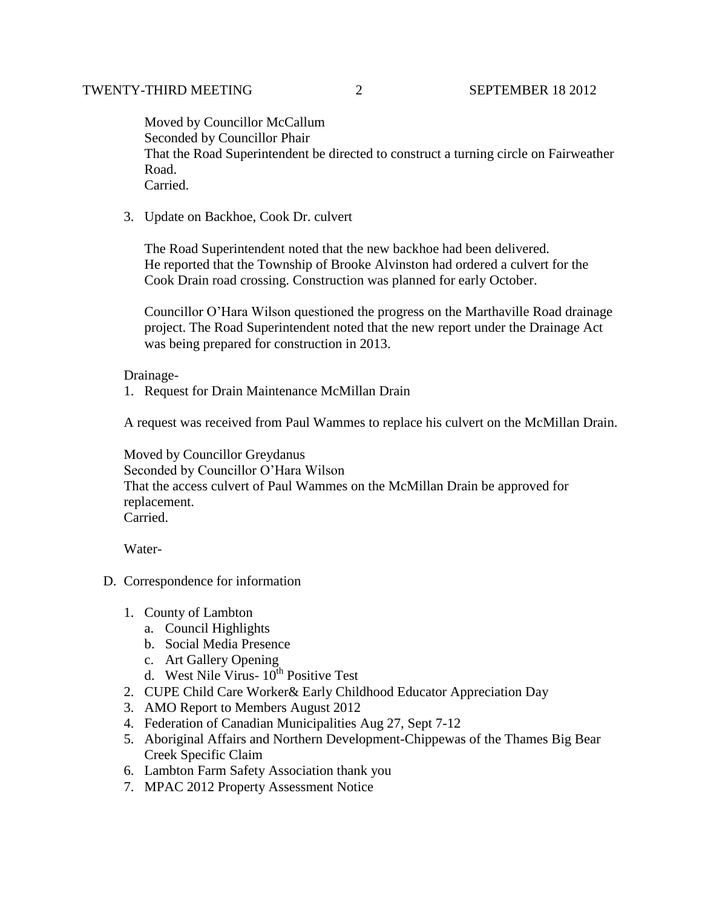Moved by Councillor McCallum Seconded by Councillor Phair That the Road Superintendent be directed to construct a turning circle on Fairweather Road. Carried.

3. Update on Backhoe, Cook Dr. culvert

The Road Superintendent noted that the new backhoe had been delivered. He reported that the Township of Brooke Alvinston had ordered a culvert for the Cook Drain road crossing. Construction was planned for early October.

Councillor O'Hara Wilson questioned the progress on the Marthaville Road drainage project. The Road Superintendent noted that the new report under the Drainage Act was being prepared for construction in 2013.

#### Drainage-

1. Request for Drain Maintenance McMillan Drain

A request was received from Paul Wammes to replace his culvert on the McMillan Drain.

Moved by Councillor Greydanus Seconded by Councillor O'Hara Wilson That the access culvert of Paul Wammes on the McMillan Drain be approved for replacement. Carried.

Water-

- D. Correspondence for information
	- 1. County of Lambton
		- a. Council Highlights
		- b. Social Media Presence
		- c. Art Gallery Opening
		- d. West Nile Virus-  $10^{th}$  Positive Test
	- 2. CUPE Child Care Worker& Early Childhood Educator Appreciation Day
	- 3. AMO Report to Members August 2012
	- 4. Federation of Canadian Municipalities Aug 27, Sept 7-12
	- 5. Aboriginal Affairs and Northern Development-Chippewas of the Thames Big Bear Creek Specific Claim
	- 6. Lambton Farm Safety Association thank you
	- 7. MPAC 2012 Property Assessment Notice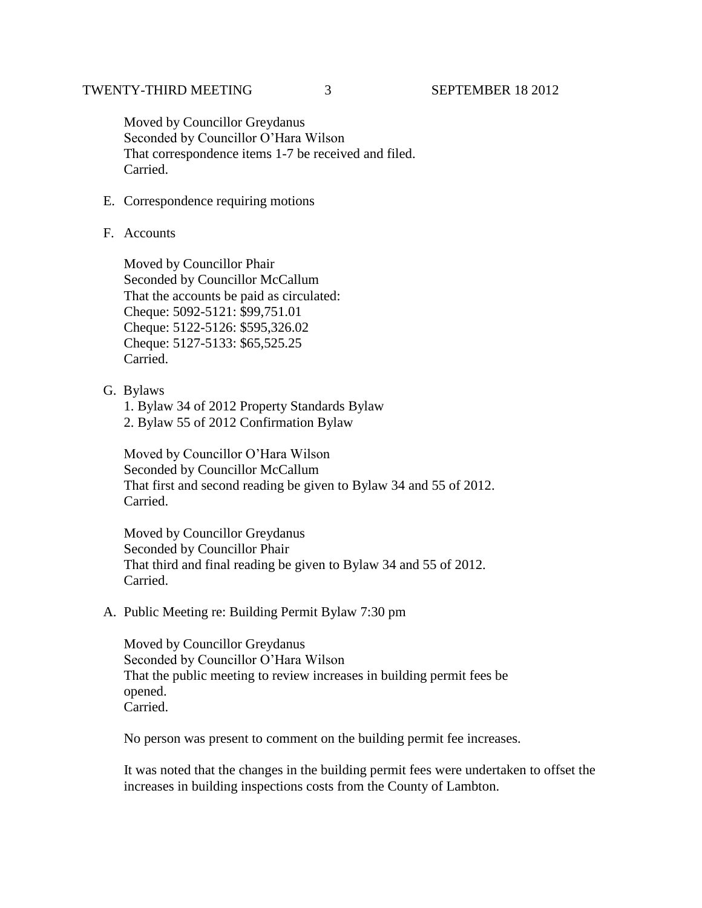Moved by Councillor Greydanus Seconded by Councillor O'Hara Wilson That correspondence items 1-7 be received and filed. Carried.

- E. Correspondence requiring motions
- F. Accounts

 Moved by Councillor Phair Seconded by Councillor McCallum That the accounts be paid as circulated: Cheque: 5092-5121: \$99,751.01 Cheque: 5122-5126: \$595,326.02 Cheque: 5127-5133: \$65,525.25 Carried.

G. Bylaws

 1. Bylaw 34 of 2012 Property Standards Bylaw 2. Bylaw 55 of 2012 Confirmation Bylaw

 Moved by Councillor O'Hara Wilson Seconded by Councillor McCallum That first and second reading be given to Bylaw 34 and 55 of 2012. Carried.

 Moved by Councillor Greydanus Seconded by Councillor Phair That third and final reading be given to Bylaw 34 and 55 of 2012. Carried.

A. Public Meeting re: Building Permit Bylaw 7:30 pm

Moved by Councillor Greydanus Seconded by Councillor O'Hara Wilson That the public meeting to review increases in building permit fees be opened. Carried.

No person was present to comment on the building permit fee increases.

 It was noted that the changes in the building permit fees were undertaken to offset the increases in building inspections costs from the County of Lambton.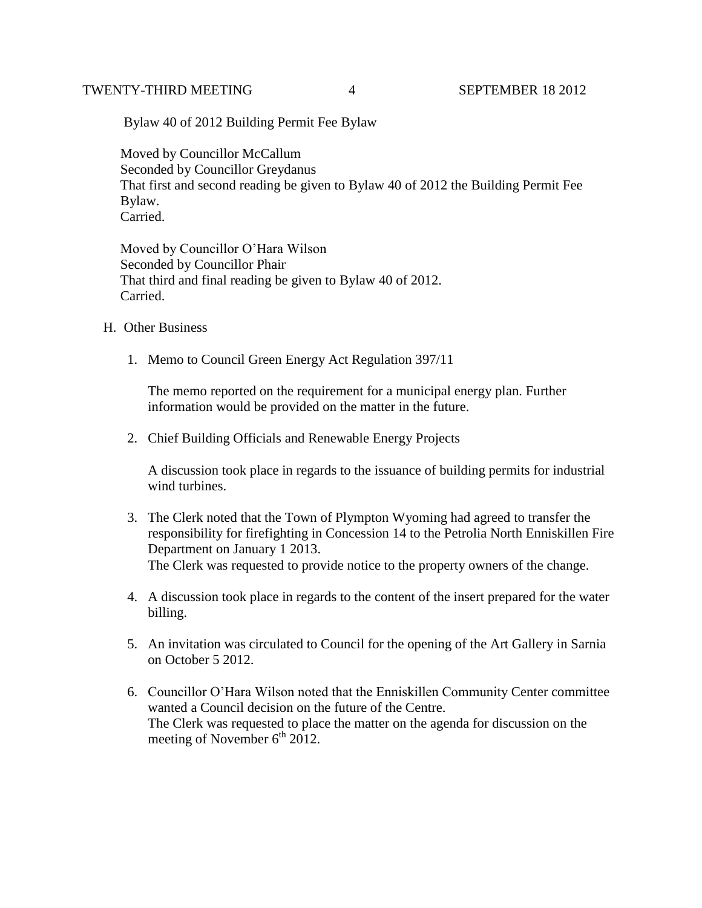## TWENTY-THIRD MEETING 4 SEPTEMBER 18 2012

Bylaw 40 of 2012 Building Permit Fee Bylaw

 Moved by Councillor McCallum Seconded by Councillor Greydanus That first and second reading be given to Bylaw 40 of 2012 the Building Permit Fee Bylaw. Carried.

 Moved by Councillor O'Hara Wilson Seconded by Councillor Phair That third and final reading be given to Bylaw 40 of 2012. Carried.

- H. Other Business
	- 1. Memo to Council Green Energy Act Regulation 397/11

The memo reported on the requirement for a municipal energy plan. Further information would be provided on the matter in the future.

2. Chief Building Officials and Renewable Energy Projects

A discussion took place in regards to the issuance of building permits for industrial wind turbines.

- 3. The Clerk noted that the Town of Plympton Wyoming had agreed to transfer the responsibility for firefighting in Concession 14 to the Petrolia North Enniskillen Fire Department on January 1 2013. The Clerk was requested to provide notice to the property owners of the change.
- 4. A discussion took place in regards to the content of the insert prepared for the water billing.
- 5. An invitation was circulated to Council for the opening of the Art Gallery in Sarnia on October 5 2012.
- 6. Councillor O'Hara Wilson noted that the Enniskillen Community Center committee wanted a Council decision on the future of the Centre. The Clerk was requested to place the matter on the agenda for discussion on the meeting of November  $6<sup>th</sup> 2012$ .